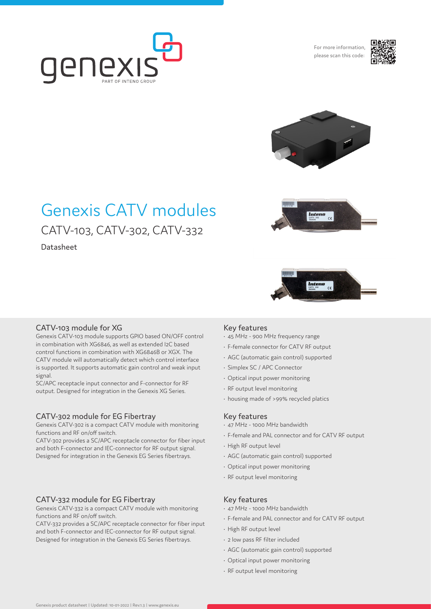

For more information, please scan this code:





# Genexis CATV modules CATV-103, CATV-302, CATV-332

Datasheet



 $\boxed{\underset{\text{CAV-302}}{\text{Interno}}}\quad\text{C}\in$ 

## CATV-103 module for XG

Genexis CATV-103 module supports GPIO based ON/OFF control in combination with XG6846, as well as extended I2C based control functions in combination with XG6846B or XGX. The CATV module will automatically detect which control interface is supported. It supports automatic gain control and weak input signal.

SC/APC receptacle input connector and F-connector for RF output. Designed for integration in the Genexis XG Series.

## CATV-302 module for EG Fibertray

Genexis CATV-302 is a compact CATV module with monitoring functions and RF on/off switch.

CATV-302 provides a SC/APC receptacle connector for fiber input and both F-connector and IEC-connector for RF output signal. Designed for integration in the Genexis EG Series fibertrays.

## CATV-332 module for EG Fibertray

Genexis CATV-332 is a compact CATV module with monitoring functions and RF on/off switch.

CATV-332 provides a SC/APC receptacle connector for fiber input and both F-connector and IEC-connector for RF output signal. Designed for integration in the Genexis EG Series fibertrays.

## Key features

- 45 MHz 900 MHz frequency range
- F-female connector for CATV RF output
- AGC (automatic gain control) supported
- Simplex SC / APC Connector
- Optical input power monitoring
- RF output level monitoring
- housing made of >99% recycled platics

## Key features

- 47 MHz 1000 MHz bandwidth
- F-female and PAL connector and for CATV RF output
- High RF output level
- AGC (automatic gain control) supported
- Optical input power monitoring
- RF output level monitoring

## Key features

- 47 MHz 1000 MHz bandwidth
- F-female and PAL connector and for CATV RF output
- High RF output level
- 2 low pass RF filter included
- AGC (automatic gain control) supported
- Optical input power monitoring
- RF output level monitoring